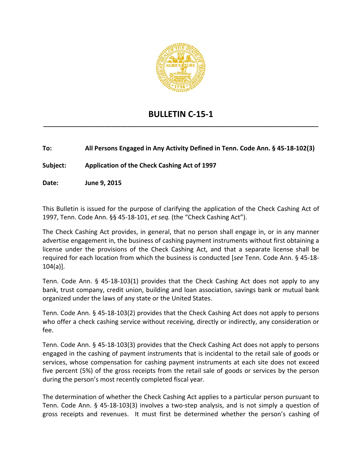

## **BULLETIN C‐15‐1 \_\_\_\_\_\_\_\_\_\_\_\_\_\_\_\_\_\_\_\_\_\_\_\_\_\_\_\_\_\_\_\_\_\_\_\_\_\_\_\_\_\_\_\_\_\_\_\_\_\_\_\_\_\_\_\_\_\_\_\_\_\_\_\_\_\_\_\_\_\_\_\_\_\_\_\_\_\_\_\_\_\_\_\_\_**

**To: All Persons Engaged in Any Activity Defined in Tenn. Code Ann. § 45‐18‐102(3)**

**Subject: Application of the Check Cashing Act of 1997**

**Date: June 9, 2015**

This Bulletin is issued for the purpose of clarifying the application of the Check Cashing Act of 1997, Tenn. Code Ann. §§ 45‐18‐101, *et seq.* (the "Check Cashing Act").

The Check Cashing Act provides, in general, that no person shall engage in, or in any manner advertise engagement in, the business of cashing payment instruments without first obtaining a license under the provisions of the Check Cashing Act, and that a separate license shall be required for each location from which the business is conducted [*see* Tenn. Code Ann. § 45‐18‐ 104(a)].

Tenn. Code Ann. § 45-18-103(1) provides that the Check Cashing Act does not apply to any bank, trust company, credit union, building and loan association, savings bank or mutual bank organized under the laws of any state or the United States.

Tenn. Code Ann. § 45‐18‐103(2) provides that the Check Cashing Act does not apply to persons who offer a check cashing service without receiving, directly or indirectly, any consideration or fee.

Tenn. Code Ann. § 45‐18‐103(3) provides that the Check Cashing Act does not apply to persons engaged in the cashing of payment instruments that is incidental to the retail sale of goods or services, whose compensation for cashing payment instruments at each site does not exceed five percent (5%) of the gross receipts from the retail sale of goods or services by the person during the person's most recently completed fiscal year.

The determination of whether the Check Cashing Act applies to a particular person pursuant to Tenn. Code Ann. § 45‐18‐103(3) involves a two‐step analysis, and is not simply a question of gross receipts and revenues. It must first be determined whether the person's cashing of